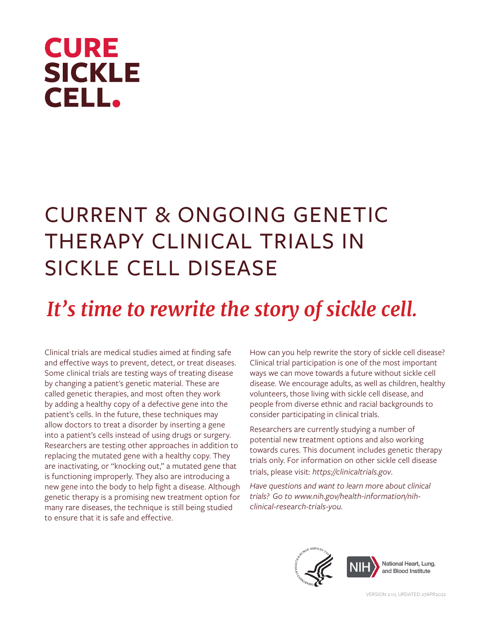# **CURE SICKLE CELL.**

## CURRENT & ONGOING GENETIC THERAPY CLINICAL TRIALS IN SICKLE CELL DISEASE

## *It's time to rewrite the story of sickle cell.*

Clinical trials are medical studies aimed at finding safe and effective ways to prevent, detect, or treat diseases. Some clinical trials are testing ways of treating disease by changing a patient's genetic material. These are called genetic therapies, and most often they work by adding a healthy copy of a defective gene into the patient's cells. In the future, these techniques may allow doctors to treat a disorder by inserting a gene into a patient's cells instead of using drugs or surgery. Researchers are testing other approaches in addition to replacing the mutated gene with a healthy copy. They are inactivating, or "knocking out," a mutated gene that is functioning improperly. They also are introducing a new gene into the body to help fight a disease. Although genetic therapy is a promising new treatment option for many rare diseases, the technique is still being studied to ensure that it is safe and effective.

How can you help rewrite the story of sickle cell disease? Clinical trial participation is one of the most important ways we can move towards a future without sickle cell disease. We encourage adults, as well as children, healthy volunteers, those living with sickle cell disease, and people from diverse ethnic and racial backgrounds to consider participating in clinical trials.

Researchers are currently studying a number of potential new treatment options and also working towards cures. This document includes genetic therapy trials only. For information on other sickle cell disease trials, please visit: *https://clinicaltrials.gov*.

*Have questions and want to learn more about clinical trials? Go to www.nih.gov/health-information/nihclinical-research-trials-you.*

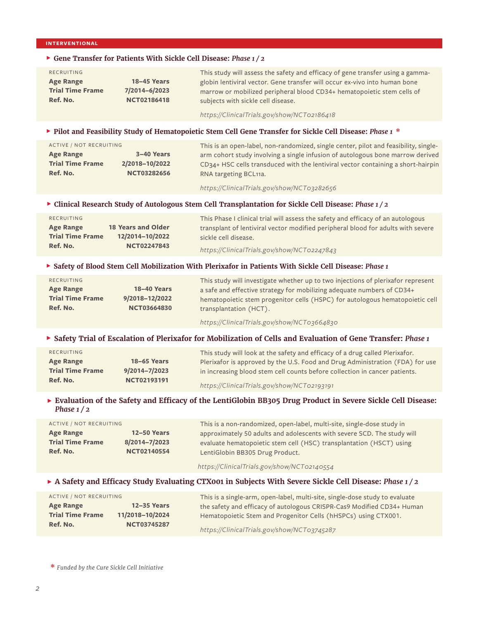#### **INTERVENTIONAL**

## F **Gene Transfer for Patients With Sickle Cell Disease:** *Phase 1 / 2*

| RECRUITING              |                    | This study will assess the safety and efficacy of gene transfer using a gamma- |
|-------------------------|--------------------|--------------------------------------------------------------------------------|
| <b>Age Range</b>        | <b>18–45 Years</b> | globin lentiviral vector. Gene transfer will occur ex-vivo into human bone     |
| <b>Trial Time Frame</b> | 7/2014-6/2023      | marrow or mobilized peripheral blood CD34+ hematopoietic stem cells of         |
| Ref. No.                | <b>NCT02186418</b> | subjects with sickle cell disease.                                             |
|                         |                    |                                                                                |

*https://ClinicalTrials.gov/show/NCT02186418*

## F **Pilot and Feasibility Study of Hematopoietic Stem Cell Gene Transfer for Sickle Cell Disease:** *Phase 1* **\***

| ACTIVE / NOT RECRUITING |                    | This is an open-label, non-randomized, single center, pilot and feasibility, single- |
|-------------------------|--------------------|--------------------------------------------------------------------------------------|
| <b>Age Range</b>        | 3-40 Years         | arm cohort study involving a single infusion of autologous bone marrow derived       |
| <b>Trial Time Frame</b> | 2/2018-10/2022     | CD34+ HSC cells transduced with the lentiviral vector containing a short-hairpin     |
| Ref. No.                | <b>NCT03282656</b> | RNA targeting BCL11a.                                                                |

*https://ClinicalTrials.gov/show/NCT03282656*

#### F **Clinical Research Study of Autologous Stem Cell Transplantation for Sickle Cell Disease:** *Phase 1 / 2*

| RECRUITING              |                           | This Phase I clinical trial will assess the safety and efficacy of an autologous |
|-------------------------|---------------------------|----------------------------------------------------------------------------------|
| <b>Age Range</b>        | <b>18 Years and Older</b> | transplant of lentiviral vector modified peripheral blood for adults with severe |
| <b>Trial Time Frame</b> | 12/2014-10/2022           | sickle cell disease.                                                             |
| Ref. No.                | <b>NCT02247843</b>        | https://ClinicalTrials.gov/show/NCT02247843                                      |

#### F **Safety of Blood Stem Cell Mobilization With Plerixafor in Patients With Sickle Cell Disease:** *Phase 1*

| RECRUITING<br><b>Age Range</b><br><b>Trial Time Frame</b><br>Ref. No. | <b>18-40 Years</b><br>9/2018-12/2022<br><b>NCT03664830</b> | This study will investigate whether up to two injections of plerixafor represent<br>a safe and effective strategy for mobilizing adequate numbers of CD34+<br>hematopoietic stem progenitor cells (HSPC) for autologous hematopoietic cell<br>transplantation (HCT). |
|-----------------------------------------------------------------------|------------------------------------------------------------|----------------------------------------------------------------------------------------------------------------------------------------------------------------------------------------------------------------------------------------------------------------------|
|                                                                       |                                                            | https://ClinicalTrials.gov/show/NCT03664830                                                                                                                                                                                                                          |

## F **Safety Trial of Escalation of Plerixafor for Mobilization of Cells and Evaluation of Gene Transfer:** *Phase 1*

| RECRUITING              |                    | This study will look at the safety and efficacy of a drug called Plerixafor.  |
|-------------------------|--------------------|-------------------------------------------------------------------------------|
| <b>Age Range</b>        | <b>18–65 Years</b> | Plerixafor is approved by the U.S. Food and Drug Administration (FDA) for use |
| <b>Trial Time Frame</b> | 9/2014-7/2023      | in increasing blood stem cell counts before collection in cancer patients.    |
| Ref. No.                | NCT02193191        | https://ClinicalTrials.gov/show/NCT02193191                                   |

## F **Evaluation of the Safety and Efficacy of the LentiGlobin BB305 Drug Product in Severe Sickle Cell Disease:**  *Phase 1 / 2*

| ACTIVE / NOT RECRUITING |                    | This is a non-randomized, open-label, multi-site, single-dose study in  |
|-------------------------|--------------------|-------------------------------------------------------------------------|
| <b>Age Range</b>        | <b>12–50 Years</b> | approximately 50 adults and adolescents with severe SCD. The study will |
| <b>Trial Time Frame</b> | 8/2014-7/2023      | evaluate hematopoietic stem cell (HSC) transplantation (HSCT) using     |
| Ref. No.                | <b>NCT02140554</b> | LentiGlobin BB305 Drug Product.                                         |
|                         |                    |                                                                         |

*https://ClinicalTrials.gov/show/NCT02140554*

## ▶ A Safety and Efficacy Study Evaluating CTX001 in Subjects With Severe Sickle Cell Disease: *Phase 1/2*

| ACTIVE / NOT RECRUITING |                    | This is a single-arm, open-label, multi-site, single-dose study to evaluate |
|-------------------------|--------------------|-----------------------------------------------------------------------------|
| <b>Age Range</b>        | $12 - 35$ Years    | the safety and efficacy of autologous CRISPR-Cas9 Modified CD34+ Human      |
| <b>Trial Time Frame</b> | 11/2018-10/2024    | Hematopoietic Stem and Progenitor Cells (hHSPCs) using CTX001.              |
| Ref. No.                | <b>NCT03745287</b> | https://ClinicalTrials.gov/show/NCT03745287                                 |

**\*** *Funded by the Cure Sickle Cell Initiative*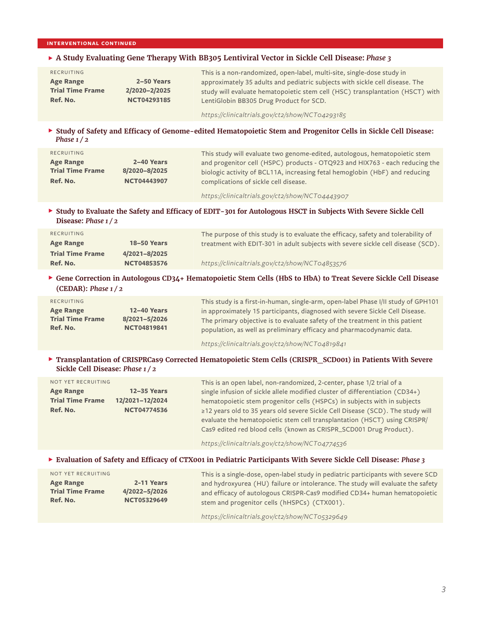## **INTERVENTIONAL CONTINUED**

## F **A Study Evaluating Gene Therapy With BB305 Lentiviral Vector in Sickle Cell Disease:** *Phase 3*

| RECRUITING<br><b>Age Range</b><br><b>Trial Time Frame</b> | 2–50 Years<br>2/2020-2/2025 | This is a non-randomized, open-label, multi-site, single-dose study in<br>approximately 35 adults and pediatric subjects with sickle cell disease. The<br>study will evaluate hematopoietic stem cell (HSC) transplantation (HSCT) with |
|-----------------------------------------------------------|-----------------------------|-----------------------------------------------------------------------------------------------------------------------------------------------------------------------------------------------------------------------------------------|
| Ref. No.                                                  | <b>NCT04293185</b>          | LentiGlobin BB305 Drug Product for SCD.                                                                                                                                                                                                 |

*https://clinicaltrials.gov/ct2/show/NCT04293185*

## F **Study of Safety and Efficacy of Genome-edited Hematopoietic Stem and Progenitor Cells in Sickle Cell Disease:** *Phase 1 / 2*

| RECRUITING              |                    | This study will evaluate two genome-edited, autologous, hematopoietic stem  |
|-------------------------|--------------------|-----------------------------------------------------------------------------|
| <b>Age Range</b>        | 2–40 Years         | and progenitor cell (HSPC) products - OTQ923 and HIX763 - each reducing the |
| <b>Trial Time Frame</b> | 8/2020-8/2025      | biologic activity of BCL11A, increasing fetal hemoglobin (HbF) and reducing |
| Ref. No.                | <b>NCT04443907</b> | complications of sickle cell disease.                                       |
|                         |                    |                                                                             |

*https://clinicaltrials.gov/ct2/show/NCT04443907*

## F **Study to Evaluate the Safety and Efficacy of EDIT-301 for Autologous HSCT in Subjects With Severe Sickle Cell Disease:** *Phase 1 / 2*

| RECRUITING              |                    | The purpose of this study is to evaluate the efficacy, safety and tolerability of |
|-------------------------|--------------------|-----------------------------------------------------------------------------------|
| <b>Age Range</b>        | <b>18–50 Years</b> | treatment with EDIT-301 in adult subjects with severe sickle cell disease (SCD).  |
| <b>Trial Time Frame</b> | 4/2021-8/2025      |                                                                                   |
| Ref. No.                | <b>NCT04853576</b> | https://clinicaltrials.gov/ct2/show/NCT04853576                                   |

## F **Gene Correction in Autologous CD34+ Hematopoietic Stem Cells (HbS to HbA) to Treat Severe Sickle Cell Disease (CEDAR):** *Phase 1 / 2*

| RECRUITING              |                    | This study is a first-in-human, single-arm, open-label Phase I/II study of GPH101 |
|-------------------------|--------------------|-----------------------------------------------------------------------------------|
| <b>Age Range</b>        | <b>12-40 Years</b> | in approximately 15 participants, diagnosed with severe Sickle Cell Disease.      |
| <b>Trial Time Frame</b> | 8/2021-5/2026      | The primary objective is to evaluate safety of the treatment in this patient      |
| Ref. No.                | <b>NCT04819841</b> | population, as well as preliminary efficacy and pharmacodynamic data.             |

*https://clinicaltrials.gov/ct2/show/NCT04819841*

## F **Transplantation of CRISPRCas9 Corrected Hematopoietic Stem Cells (CRISPR\_SCD001) in Patients With Severe Sickle Cell Disease:** *Phase 1 / 2*

| NOT YET RECRUITING      |                    | This is an open label, non-randomized, 2-center, phase 1/2 trial of a          |
|-------------------------|--------------------|--------------------------------------------------------------------------------|
| <b>Age Range</b>        | <b>12-35 Years</b> | single infusion of sickle allele modified cluster of differentiation (CD34+)   |
| <b>Trial Time Frame</b> | 12/2021-12/2024    | hematopoietic stem progenitor cells (HSPCs) in subjects with in subjects       |
| Ref. No.                | <b>NCT04774536</b> | ≥12 years old to 35 years old severe Sickle Cell Disease (SCD). The study will |
|                         |                    | evaluate the hematopoietic stem cell transplantation (HSCT) using CRISPR/      |
|                         |                    | Cas9 edited red blood cells (known as CRISPR_SCD001 Drug Product).             |

*https://clinicaltrials.gov/ct2/show/NCT04774536*

### F **Evaluation of Safety and Efficacy of CTX001 in Pediatric Participants With Severe Sickle Cell Disease:** *Phase 3*

| NOT YET RECRUITING                                      |                                                   | This is a single-dose, open-label study in pediatric participants with severe SCD                                                                                                                            |
|---------------------------------------------------------|---------------------------------------------------|--------------------------------------------------------------------------------------------------------------------------------------------------------------------------------------------------------------|
| <b>Age Range</b><br><b>Trial Time Frame</b><br>Ref. No. | 2-11 Years<br>4/2022-5/2026<br><b>NCT05329649</b> | and hydroxyurea (HU) failure or intolerance. The study will evaluate the safety<br>and efficacy of autologous CRISPR-Cas9 modified CD34+ human hematopoietic<br>stem and progenitor cells (hHSPCs) (CTX001). |
|                                                         |                                                   | https://clinicaltrials.gov/ct2/show/NCT05329649                                                                                                                                                              |